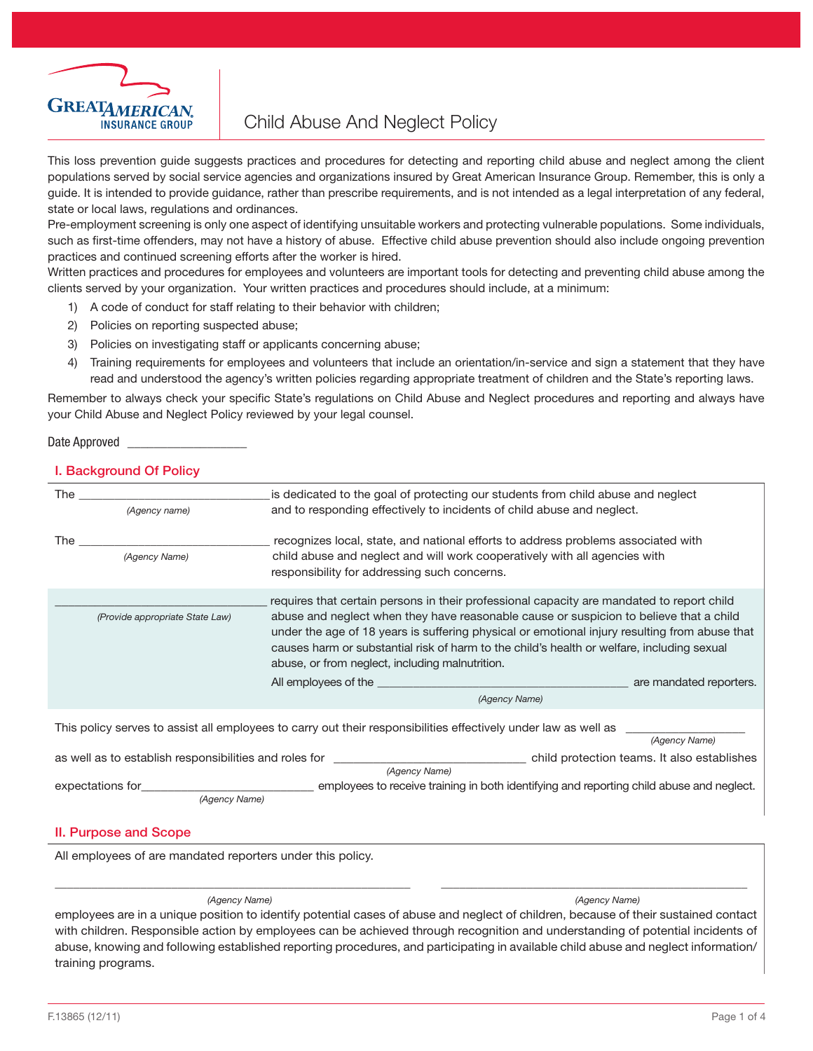

# Child Abuse And Neglect Policy

This loss prevention guide suggests practices and procedures for detecting and reporting child abuse and neglect among the client populations served by social service agencies and organizations insured by Great American Insurance Group. Remember, this is only a guide. It is intended to provide guidance, rather than prescribe requirements, and is not intended as a legal interpretation of any federal, state or local laws, regulations and ordinances.

Pre-employment screening is only one aspect of identifying unsuitable workers and protecting vulnerable populations. Some individuals, such as first-time offenders, may not have a history of abuse. Effective child abuse prevention should also include ongoing prevention practices and continued screening efforts after the worker is hired.

Written practices and procedures for employees and volunteers are important tools for detecting and preventing child abuse among the clients served by your organization. Your written practices and procedures should include, at a minimum:

- 1) A code of conduct for staff relating to their behavior with children;
- 2) Policies on reporting suspected abuse;
- 3) Policies on investigating staff or applicants concerning abuse;
- 4) Training requirements for employees and volunteers that include an orientation/in-service and sign a statement that they have read and understood the agency's written policies regarding appropriate treatment of children and the State's reporting laws.

Remember to always check your specific State's regulations on Child Abuse and Neglect procedures and reporting and always have your Child Abuse and Neglect Policy reviewed by your legal counsel.

Date Approved

# I. Background Of Policy

| The                                                                                                                              | (Agency name)                   | is dedicated to the goal of protecting our students from child abuse and neglect<br>and to responding effectively to incidents of child abuse and neglect.                                                                                                                                                                                                                                                                                                                                                                                                                            |  |  |  |
|----------------------------------------------------------------------------------------------------------------------------------|---------------------------------|---------------------------------------------------------------------------------------------------------------------------------------------------------------------------------------------------------------------------------------------------------------------------------------------------------------------------------------------------------------------------------------------------------------------------------------------------------------------------------------------------------------------------------------------------------------------------------------|--|--|--|
| The the state of the state of the state of the state of the state of the state of the state of the state of th                   | (Agency Name)                   | recognizes local, state, and national efforts to address problems associated with<br>child abuse and neglect and will work cooperatively with all agencies with<br>responsibility for addressing such concerns.                                                                                                                                                                                                                                                                                                                                                                       |  |  |  |
|                                                                                                                                  | (Provide appropriate State Law) | requires that certain persons in their professional capacity are mandated to report child<br>abuse and neglect when they have reasonable cause or suspicion to believe that a child<br>under the age of 18 years is suffering physical or emotional injury resulting from abuse that<br>causes harm or substantial risk of harm to the child's health or welfare, including sexual<br>abuse, or from neglect, including malnutrition.<br>are mandated reporters.<br>All employees of the account of the state of the state of the state of the state of the state of the state of the |  |  |  |
|                                                                                                                                  |                                 | (Agency Name)                                                                                                                                                                                                                                                                                                                                                                                                                                                                                                                                                                         |  |  |  |
| This policy serves to assist all employees to carry out their responsibilities effectively under law as well as<br>(Agency Name) |                                 |                                                                                                                                                                                                                                                                                                                                                                                                                                                                                                                                                                                       |  |  |  |

| as well as to establish responsibilities and roles for |               | child protection teams. It also establishes                                              |
|--------------------------------------------------------|---------------|------------------------------------------------------------------------------------------|
|                                                        | (Agency Name) |                                                                                          |
| expectations for                                       |               | employees to receive training in both identifying and reporting child abuse and neglect. |
| (Agency Name)                                          |               |                                                                                          |

# II. Purpose and Scope

All employees of are mandated reporters under this policy.

*(Agency Name) (Agency Name)*

employees are in a unique position to identify potential cases of abuse and neglect of children, because of their sustained contact with children. Responsible action by employees can be achieved through recognition and understanding of potential incidents of abuse, knowing and following established reporting procedures, and participating in available child abuse and neglect information/ training programs.

\_\_\_\_\_\_\_\_\_\_\_\_\_\_\_\_\_\_\_\_\_\_\_\_\_\_\_\_\_\_\_\_\_\_\_\_\_\_\_\_\_\_\_\_\_\_\_\_\_\_\_\_\_\_\_\_\_\_ \_\_\_\_\_\_\_\_\_\_\_\_\_\_\_\_\_\_\_\_\_\_\_\_\_\_\_\_\_\_\_\_\_\_\_\_\_\_\_\_\_\_\_\_\_\_\_\_\_\_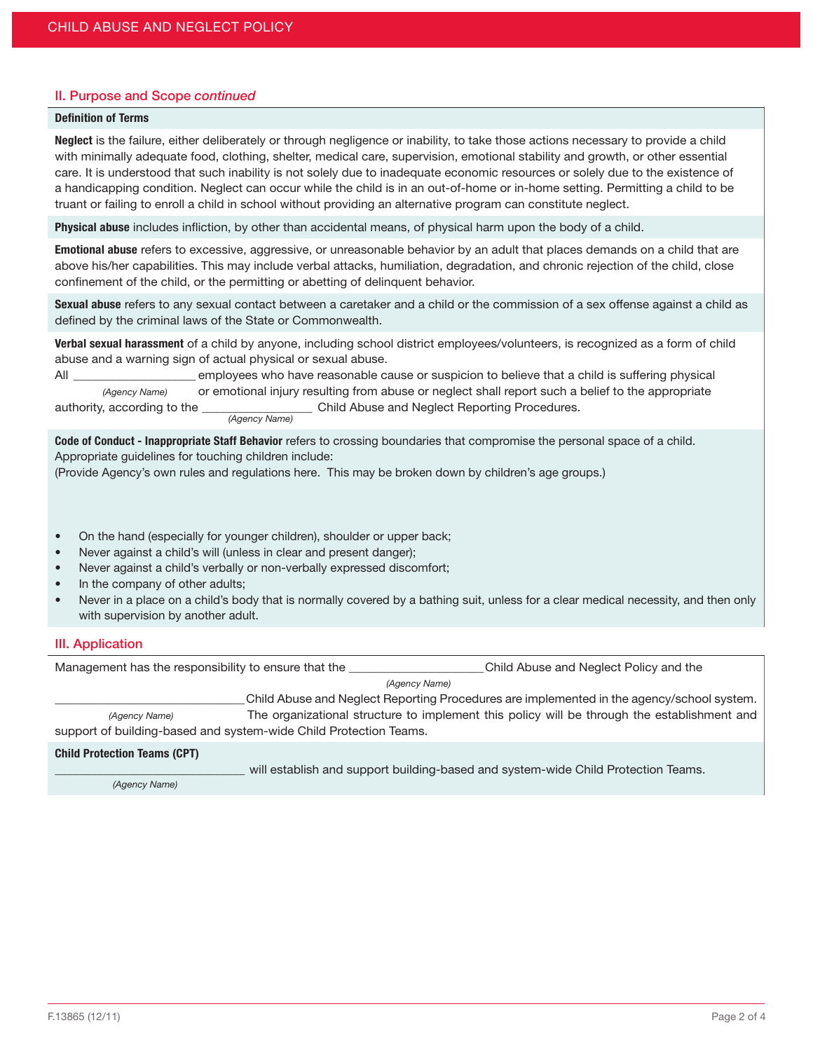# II. Purpose and Scope *continued*

# Definition of Terms

Neglect is the failure, either deliberately or through negligence or inability, to take those actions necessary to provide a child with minimally adequate food, clothing, shelter, medical care, supervision, emotional stability and growth, or other essential care. It is understood that such inability is not solely due to inadequate economic resources or solely due to the existence of a handicapping condition. Neglect can occur while the child is in an out-of-home or in-home setting. Permitting a child to be truant or failing to enroll a child in school without providing an alternative program can constitute neglect.

Physical abuse includes infliction, by other than accidental means, of physical harm upon the body of a child.

Emotional abuse refers to excessive, aggressive, or unreasonable behavior by an adult that places demands on a child that are above his/her capabilities. This may include verbal attacks, humiliation, degradation, and chronic rejection of the child, close confinement of the child, or the permitting or abetting of delinquent behavior.

Sexual abuse refers to any sexual contact between a caretaker and a child or the commission of a sex offense against a child as defined by the criminal laws of the State or Commonwealth.

Verbal sexual harassment of a child by anyone, including school district employees/volunteers, is recognized as a form of child abuse and a warning sign of actual physical or sexual abuse.

All **Examployees who have reasonable cause or suspicion to believe that a child is suffering physical** *(Agency Name)* or emotional injury resulting from abuse or neglect shall report such a belief to the appropriate authority, according to the  $\Box$  Child Abuse and Neglect Reporting Procedures.

*(Agency Name)*

Code of Conduct - Inappropriate Staff Behavior refers to crossing boundaries that compromise the personal space of a child. Appropriate guidelines for touching children include:

(Provide Agency's own rules and regulations here. This may be broken down by children's age groups.)

- On the hand (especially for younger children), shoulder or upper back;
- Never against a child's will (unless in clear and present danger);
- Never against a child's verbally or non-verbally expressed discomfort;
- In the company of other adults;
- Never in a place on a child's body that is normally covered by a bathing suit, unless for a clear medical necessity, and then only with supervision by another adult.

# III. Application

Management has the responsibility to ensure that the \_\_\_\_\_\_\_\_\_\_\_\_\_\_\_\_\_\_\_\_\_\_\_\_Child Abuse and Neglect Policy and the

*(Agency Name)*

Child Abuse and Neglect Reporting Procedures are implemented in the agency/school system. *(Agency Name)* The organizational structure to implement this policy will be through the establishment and support of building-based and system-wide Child Protection Teams.

#### Child Protection Teams (CPT)

will establish and support building-based and system-wide Child Protection Teams.

*(Agency Name)*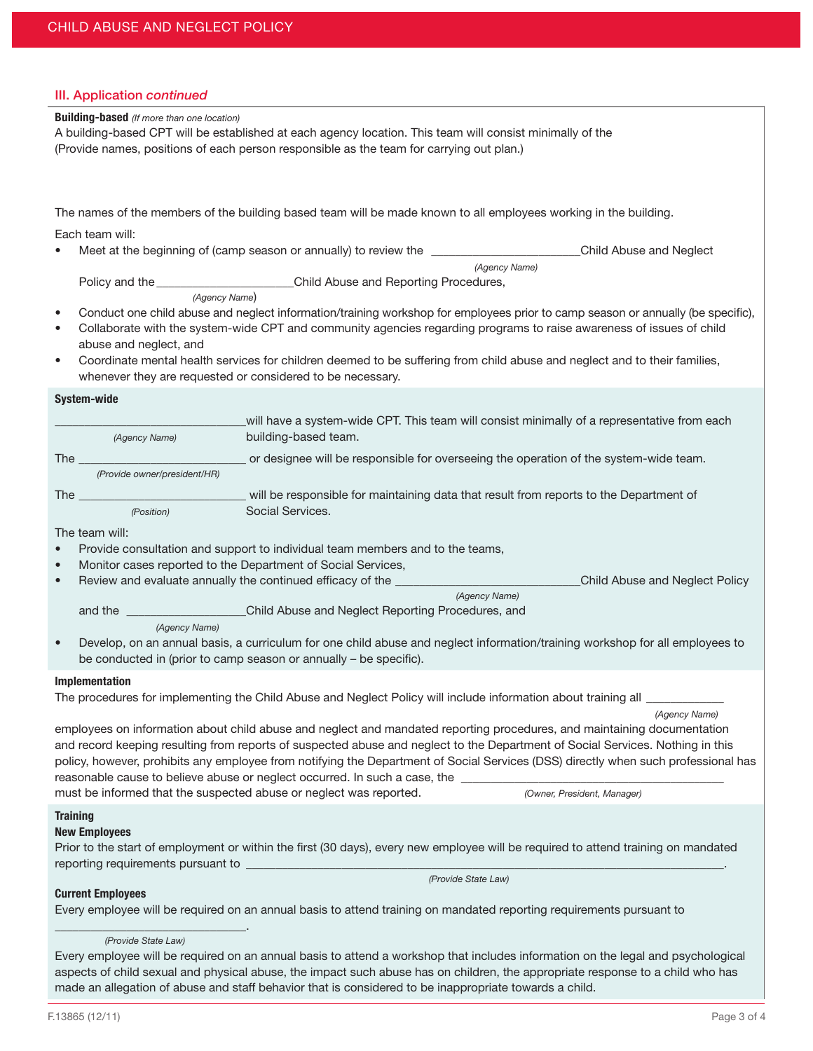# III. Application *continued*

| <b>Building-based</b> (If more than one location)<br>A building-based CPT will be established at each agency location. This team will consist minimally of the<br>(Provide names, positions of each person responsible as the team for carrying out plan.) |                                                                                                                                                                                                                                                                                                                                                        |  |  |  |  |  |
|------------------------------------------------------------------------------------------------------------------------------------------------------------------------------------------------------------------------------------------------------------|--------------------------------------------------------------------------------------------------------------------------------------------------------------------------------------------------------------------------------------------------------------------------------------------------------------------------------------------------------|--|--|--|--|--|
|                                                                                                                                                                                                                                                            | The names of the members of the building based team will be made known to all employees working in the building.                                                                                                                                                                                                                                       |  |  |  |  |  |
|                                                                                                                                                                                                                                                            | Each team will:                                                                                                                                                                                                                                                                                                                                        |  |  |  |  |  |
|                                                                                                                                                                                                                                                            | Meet at the beginning of (camp season or annually) to review the ___________________________Child Abuse and Neglect                                                                                                                                                                                                                                    |  |  |  |  |  |
|                                                                                                                                                                                                                                                            | (Agency Name)                                                                                                                                                                                                                                                                                                                                          |  |  |  |  |  |
|                                                                                                                                                                                                                                                            | Policy and the ________________________Child Abuse and Reporting Procedures,                                                                                                                                                                                                                                                                           |  |  |  |  |  |
| $\bullet$                                                                                                                                                                                                                                                  | (Agency Name)                                                                                                                                                                                                                                                                                                                                          |  |  |  |  |  |
| $\bullet$                                                                                                                                                                                                                                                  | Conduct one child abuse and neglect information/training workshop for employees prior to camp season or annually (be specific),<br>Collaborate with the system-wide CPT and community agencies regarding programs to raise awareness of issues of child<br>abuse and neglect, and                                                                      |  |  |  |  |  |
| $\bullet$                                                                                                                                                                                                                                                  | Coordinate mental health services for children deemed to be suffering from child abuse and neglect and to their families,<br>whenever they are requested or considered to be necessary.                                                                                                                                                                |  |  |  |  |  |
|                                                                                                                                                                                                                                                            | System-wide                                                                                                                                                                                                                                                                                                                                            |  |  |  |  |  |
|                                                                                                                                                                                                                                                            | will have a system-wide CPT. This team will consist minimally of a representative from each<br>building-based team.<br>(Agency Name)                                                                                                                                                                                                                   |  |  |  |  |  |
|                                                                                                                                                                                                                                                            | The water and the contract of the contract of the contract of the contract of the contract of the contract of the contract of the contract of the contract of the contract of the contract of the contract of the contract of<br>or designee will be responsible for overseeing the operation of the system-wide team.<br>(Provide owner/president/HR) |  |  |  |  |  |
|                                                                                                                                                                                                                                                            | Social Services.<br>(Position)                                                                                                                                                                                                                                                                                                                         |  |  |  |  |  |
|                                                                                                                                                                                                                                                            | The team will:                                                                                                                                                                                                                                                                                                                                         |  |  |  |  |  |
|                                                                                                                                                                                                                                                            | Provide consultation and support to individual team members and to the teams,                                                                                                                                                                                                                                                                          |  |  |  |  |  |
| $\bullet$                                                                                                                                                                                                                                                  | Monitor cases reported to the Department of Social Services,                                                                                                                                                                                                                                                                                           |  |  |  |  |  |
| $\bullet$                                                                                                                                                                                                                                                  | Review and evaluate annually the continued efficacy of the __________<br><b>Child Abuse and Neglect Policy</b>                                                                                                                                                                                                                                         |  |  |  |  |  |
|                                                                                                                                                                                                                                                            | (Agency Name)                                                                                                                                                                                                                                                                                                                                          |  |  |  |  |  |
|                                                                                                                                                                                                                                                            | and the <b>contract to the Child Abuse and Neglect Reporting Procedures</b> , and                                                                                                                                                                                                                                                                      |  |  |  |  |  |
| $\bullet$                                                                                                                                                                                                                                                  | (Agency Name)<br>Develop, on an annual basis, a curriculum for one child abuse and neglect information/training workshop for all employees to<br>be conducted in (prior to camp season or annually - be specific).                                                                                                                                     |  |  |  |  |  |
|                                                                                                                                                                                                                                                            |                                                                                                                                                                                                                                                                                                                                                        |  |  |  |  |  |
| Implementation<br>The procedures for implementing the Child Abuse and Neglect Policy will include information about training all                                                                                                                           |                                                                                                                                                                                                                                                                                                                                                        |  |  |  |  |  |
|                                                                                                                                                                                                                                                            | (Agency Name)<br>employees on information about child abuse and neglect and mandated reporting procedures, and maintaining documentation                                                                                                                                                                                                               |  |  |  |  |  |
|                                                                                                                                                                                                                                                            | and record keeping resulting from reports of suspected abuse and neglect to the Department of Social Services. Nothing in this                                                                                                                                                                                                                         |  |  |  |  |  |
|                                                                                                                                                                                                                                                            | policy, however, prohibits any employee from notifying the Department of Social Services (DSS) directly when such professional has                                                                                                                                                                                                                     |  |  |  |  |  |
|                                                                                                                                                                                                                                                            | reasonable cause to believe abuse or neglect occurred. In such a case, the ________________________                                                                                                                                                                                                                                                    |  |  |  |  |  |
|                                                                                                                                                                                                                                                            | must be informed that the suspected abuse or neglect was reported.<br>(Owner, President, Manager)                                                                                                                                                                                                                                                      |  |  |  |  |  |
| <b>Training</b>                                                                                                                                                                                                                                            |                                                                                                                                                                                                                                                                                                                                                        |  |  |  |  |  |
|                                                                                                                                                                                                                                                            | <b>New Employees</b>                                                                                                                                                                                                                                                                                                                                   |  |  |  |  |  |
| Prior to the start of employment or within the first (30 days), every new employee will be required to attend training on mandated                                                                                                                         |                                                                                                                                                                                                                                                                                                                                                        |  |  |  |  |  |
| (Provide State Law)                                                                                                                                                                                                                                        |                                                                                                                                                                                                                                                                                                                                                        |  |  |  |  |  |
|                                                                                                                                                                                                                                                            | <b>Current Employees</b><br>Every employee will be required on an annual basis to attend training on mandated reporting requirements pursuant to                                                                                                                                                                                                       |  |  |  |  |  |
|                                                                                                                                                                                                                                                            | (Provide State Law)                                                                                                                                                                                                                                                                                                                                    |  |  |  |  |  |
|                                                                                                                                                                                                                                                            | Every employee will be required on an annual basis to attend a workshop that includes information on the legal and psychological                                                                                                                                                                                                                       |  |  |  |  |  |
|                                                                                                                                                                                                                                                            | aspects of child sexual and physical abuse, the impact such abuse has on children, the appropriate response to a child who has                                                                                                                                                                                                                         |  |  |  |  |  |
|                                                                                                                                                                                                                                                            | made an allegation of abuse and staff behavior that is considered to be inappropriate towards a child.                                                                                                                                                                                                                                                 |  |  |  |  |  |

| F.13865 (12/11) | Page 3 of 4 |
|-----------------|-------------|